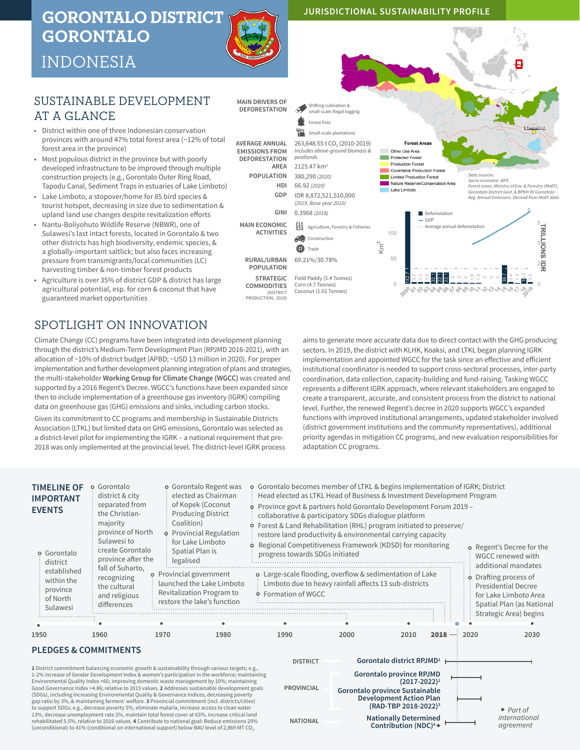# **GORONTALO DISTRICT GORONTALO**



# INDONESIA

## SUSTAINABLE DEVELOPMENT AT A GLANCE

- District within one of three Indonesian conservation provinces with around 47% total forest area (~12% of total forest area in the province)
- Most populous district in the province but with poorly developed infrastructure to be improved through multiple construction projects (e.g., Gorontalo Outer Ring Road, Tapodu Canal, Sediment Traps in estuaries of Lake Limboto)
- Lake Limboto, a stopover/home for 85 bird species & tourist hotspot, decreasing in size due to sedimentation & upland land use changes despite revitalization efforts
- Nantu-Boliyohuto Wildlife Reserve (NBWR), one of Sulawesi's last intact forests, located in Gorontalo & two other districts has high biodiversity, endemic species, & a globally-important saltlick; but also faces increasing pressure from transmigrants/local communities (LC) harvesting timber & non-timber forest products
- Agriculture is over 35% of district GDP & district has large agricultural potential, esp. for corn & coconut that have guaranteed market opportunities

## SPOTLIGHT ON INNOVATION

Climate Change (CC) programs have been integrated into development planning through the district's Medium-Term Development Plan (RPJMD 2016-2021), with an allocation of ~10% of district budget (APBD; ~USD 13 million in 2020). For proper implementation and further development planning integration of plans and strategies, the multi-stakeholder **Working Group for Climate Change (WGCC)** was created and supported by a 2016 Regent's Decree. WGCC's functions have been expanded since then to include implementation of a greenhouse gas inventory (IGRK) compiling data on greenhouse gas (GHG) emissions and sinks, including carbon stocks.

Given its commitment to CC programs and membership in Sustainable Districts Association (LTKL) but limited data on GHG emissions, Gorontalo was selected as a district-level pilot for implementing the IGRK – a national requirement that pre-2018 was only implemented at the provincial level. The district-level IGRK process

aims to generate more accurate data due to direct contact with the GHG producing sectors. In 2019, the district with KLHK, Koaksi, and LTKL began planning IGRK implementation and appointed WGCC for the task since an effective and efficient institutional coordinator is needed to support cross-sectoral processes, inter-party coordination, data collection, capacity-building and fund-raising. Tasking WGCC represents a different IGRK approach, where relevant stakeholders are engaged to create a transparent, accurate, and consistent process from the district to national level. Further, the renewed Regent's decree in 2020 supports WGCC's expanded functions with improved institutional arrangements, updated stakeholder involved (district government institutions and the community representatives), additional priority agendas in mitigation CC programs, and new evaluation responsibilities for adaptation CC programs.



**JURISDICTIONAL SUSTAINABILITY PROFILE**